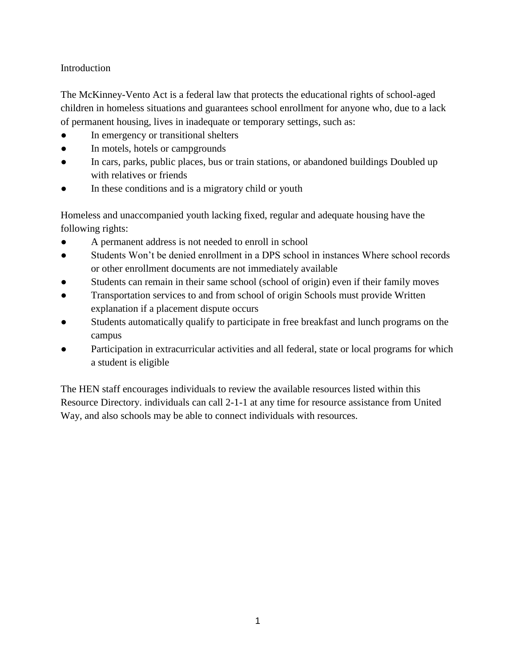# Introduction

The McKinney-Vento Act is a federal law that protects the educational rights of school-aged children in homeless situations and guarantees school enrollment for anyone who, due to a lack of permanent housing, lives in inadequate or temporary settings, such as:

- In emergency or transitional shelters
- In motels, hotels or campgrounds
- In cars, parks, public places, bus or train stations, or abandoned buildings Doubled up with relatives or friends
- In these conditions and is a migratory child or youth

Homeless and unaccompanied youth lacking fixed, regular and adequate housing have the following rights:

- A permanent address is not needed to enroll in school
- Students Won't be denied enrollment in a DPS school in instances Where school records or other enrollment documents are not immediately available
- Students can remain in their same school (school of origin) even if their family moves
- Transportation services to and from school of origin Schools must provide Written explanation if a placement dispute occurs
- Students automatically qualify to participate in free breakfast and lunch programs on the campus
- Participation in extracurricular activities and all federal, state or local programs for which a student is eligible

The HEN staff encourages individuals to review the available resources listed within this Resource Directory. individuals can call 2-1-1 at any time for resource assistance from United Way, and also schools may be able to connect individuals with resources.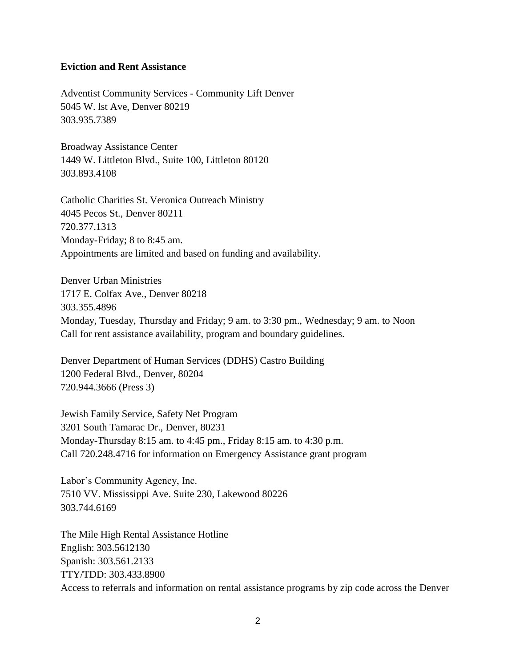#### **Eviction and Rent Assistance**

Adventist Community Services - Community Lift Denver 5045 W. lst Ave, Denver 80219 303.935.7389

Broadway Assistance Center 1449 W. Littleton Blvd., Suite 100, Littleton 80120 303.893.4108

Catholic Charities St. Veronica Outreach Ministry 4045 Pecos St., Denver 80211 720.377.1313 Monday-Friday; 8 to 8:45 am. Appointments are limited and based on funding and availability.

Denver Urban Ministries 1717 E. Colfax Ave., Denver 80218 303.355.4896 Monday, Tuesday, Thursday and Friday; 9 am. to 3:30 pm., Wednesday; 9 am. to Noon Call for rent assistance availability, program and boundary guidelines.

Denver Department of Human Services (DDHS) Castro Building 1200 Federal Blvd., Denver, 80204 720.944.3666 (Press 3)

Jewish Family Service, Safety Net Program 3201 South Tamarac Dr., Denver, 80231 Monday-Thursday 8:15 am. to 4:45 pm., Friday 8:15 am. to 4:30 p.m. Call 720.248.4716 for information on Emergency Assistance grant program

Labor's Community Agency, Inc. 7510 VV. Mississippi Ave. Suite 230, Lakewood 80226 303.744.6169

The Mile High Rental Assistance Hotline English: 303.5612130 Spanish: 303.561.2133 TTY/TDD: 303.433.8900 Access to referrals and information on rental assistance programs by zip code across the Denver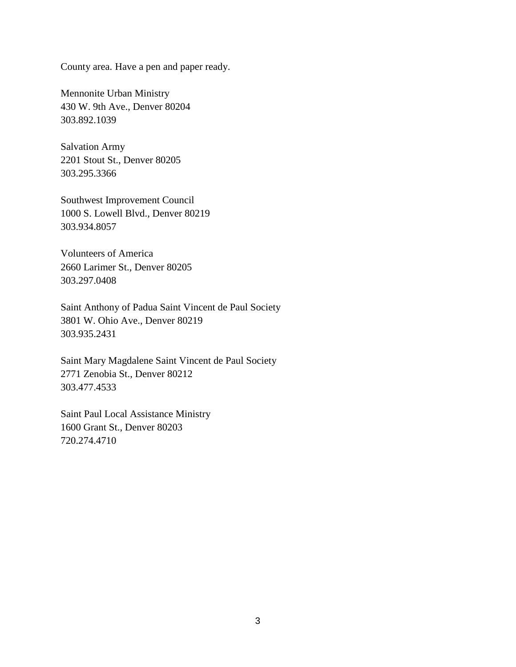County area. Have a pen and paper ready.

Mennonite Urban Ministry 430 W. 9th Ave., Denver 80204 303.892.1039

Salvation Army 2201 Stout St., Denver 80205 303.295.3366

Southwest Improvement Council 1000 S. Lowell Blvd., Denver 80219 303.934.8057

Volunteers of America 2660 Larimer St., Denver 80205 303.297.0408

Saint Anthony of Padua Saint Vincent de Paul Society 3801 W. Ohio Ave., Denver 80219 303.935.2431

Saint Mary Magdalene Saint Vincent de Paul Society 2771 Zenobia St., Denver 80212 303.477.4533

Saint Paul Local Assistance Ministry 1600 Grant St., Denver 80203 720.274.4710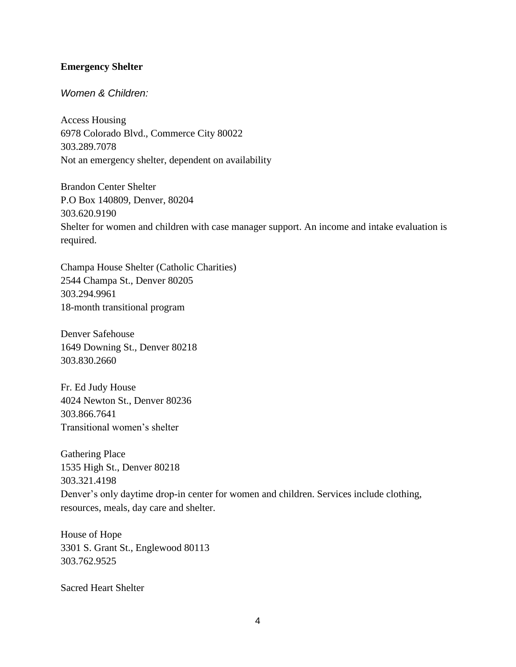## **Emergency Shelter**

## *Women & Children:*

Access Housing 6978 Colorado Blvd., Commerce City 80022 303.289.7078 Not an emergency shelter, dependent on availability

Brandon Center Shelter P.O Box 140809, Denver, 80204 303.620.9190 Shelter for women and children with case manager support. An income and intake evaluation is required.

Champa House Shelter (Catholic Charities) 2544 Champa St., Denver 80205 303.294.9961 18-month transitional program

Denver Safehouse 1649 Downing St., Denver 80218 303.830.2660

Fr. Ed Judy House 4024 Newton St., Denver 80236 303.866.7641 Transitional women's shelter

Gathering Place 1535 High St., Denver 80218 303.321.4198 Denver's only daytime drop-in center for women and children. Services include clothing, resources, meals, day care and shelter.

House of Hope 3301 S. Grant St., Englewood 80113 303.762.9525

Sacred Heart Shelter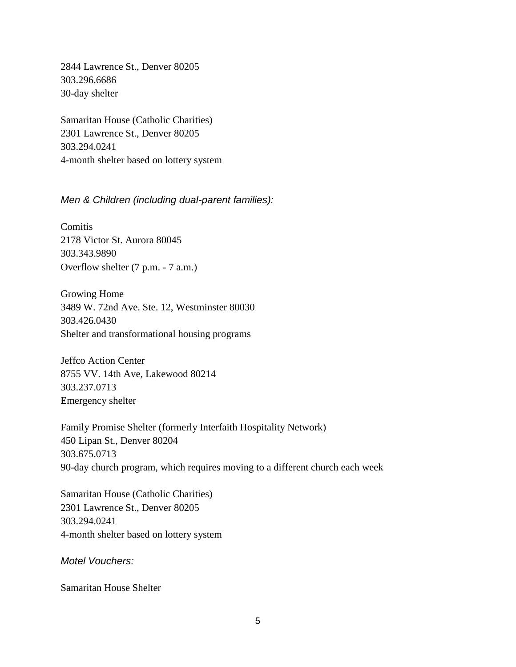2844 Lawrence St., Denver 80205 303.296.6686 30-day shelter

Samaritan House (Catholic Charities) 2301 Lawrence St., Denver 80205 303.294.0241 4-month shelter based on lottery system

*Men & Children (including dual-parent families):*

**Comitis** 2178 Victor St. Aurora 80045 303.343.9890 Overflow shelter (7 p.m. - 7 a.m.)

Growing Home 3489 W. 72nd Ave. Ste. 12, Westminster 80030 303.426.0430 Shelter and transformational housing programs

Jeffco Action Center 8755 VV. 14th Ave, Lakewood 80214 303.237.0713 Emergency shelter

Family Promise Shelter (formerly Interfaith Hospitality Network) 450 Lipan St., Denver 80204 303.675.0713 90-day church program, which requires moving to a different church each week

Samaritan House (Catholic Charities) 2301 Lawrence St., Denver 80205 303.294.0241 4-month shelter based on lottery system

*Motel Vouchers:*

Samaritan House Shelter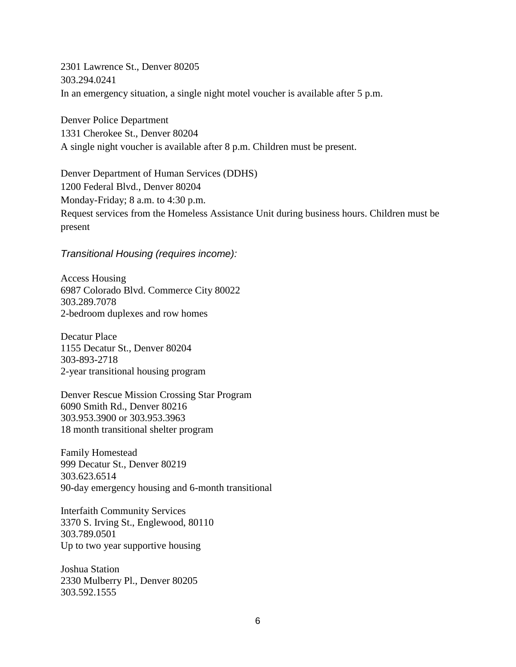2301 Lawrence St., Denver 80205 303.294.0241 In an emergency situation, a single night motel voucher is available after 5 p.m.

Denver Police Department 1331 Cherokee St., Denver 80204 A single night voucher is available after 8 p.m. Children must be present.

Denver Department of Human Services (DDHS) 1200 Federal Blvd., Denver 80204 Monday-Friday; 8 a.m. to 4:30 p.m. Request services from the Homeless Assistance Unit during business hours. Children must be present

### *Transitional Housing (requires income):*

Access Housing 6987 Colorado Blvd. Commerce City 80022 303.289.7078 2-bedroom duplexes and row homes

Decatur Place 1155 Decatur St., Denver 80204 303-893-2718 2-year transitional housing program

Denver Rescue Mission Crossing Star Program 6090 Smith Rd., Denver 80216 303.953.3900 or 303.953.3963 18 month transitional shelter program

Family Homestead 999 Decatur St., Denver 80219 303.623.6514 90-day emergency housing and 6-month transitional

Interfaith Community Services 3370 S. Irving St., Englewood, 80110 303.789.0501 Up to two year supportive housing

Joshua Station 2330 Mulberry Pl., Denver 80205 303.592.1555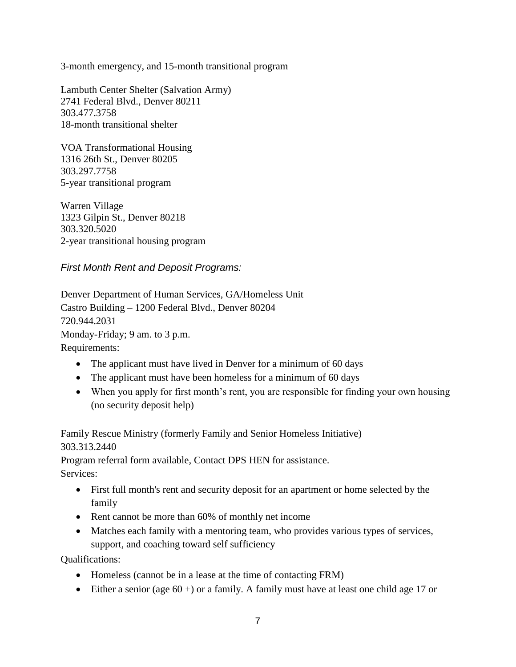3-month emergency, and 15-month transitional program

Lambuth Center Shelter (Salvation Army) 2741 Federal Blvd., Denver 80211 303.477.3758 18-month transitional shelter

VOA Transformational Housing 1316 26th St., Denver 80205 303.297.7758 5-year transitional program

Warren Village 1323 Gilpin St., Denver 80218 303.320.5020 2-year transitional housing program

*First Month Rent and Deposit Programs:*

Denver Department of Human Services, GA/Homeless Unit Castro Building – 1200 Federal Blvd., Denver 80204 720.944.2031 Monday-Friday; 9 am. to 3 p.m. Requirements:

- The applicant must have lived in Denver for a minimum of 60 days
- The applicant must have been homeless for a minimum of 60 days
- When you apply for first month's rent, you are responsible for finding your own housing (no security deposit help)

Family Rescue Ministry (formerly Family and Senior Homeless Initiative) 303.313.2440

Program referral form available, Contact DPS HEN for assistance. Services:

- First full month's rent and security deposit for an apartment or home selected by the family
- Rent cannot be more than 60% of monthly net income
- Matches each family with a mentoring team, who provides various types of services, support, and coaching toward self sufficiency

Qualifications:

- Homeless (cannot be in a lease at the time of contacting FRM)
- $\bullet$  Either a senior (age 60 +) or a family. A family must have at least one child age 17 or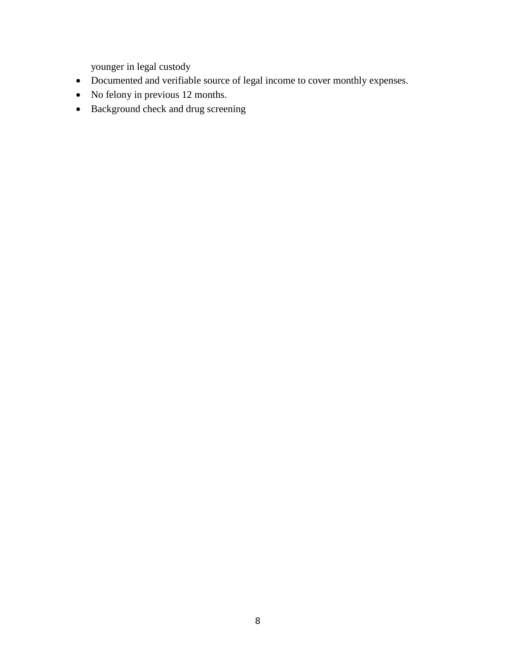younger in legal custody

- Documented and verifiable source of legal income to cover monthly expenses.
- No felony in previous 12 months.
- Background check and drug screening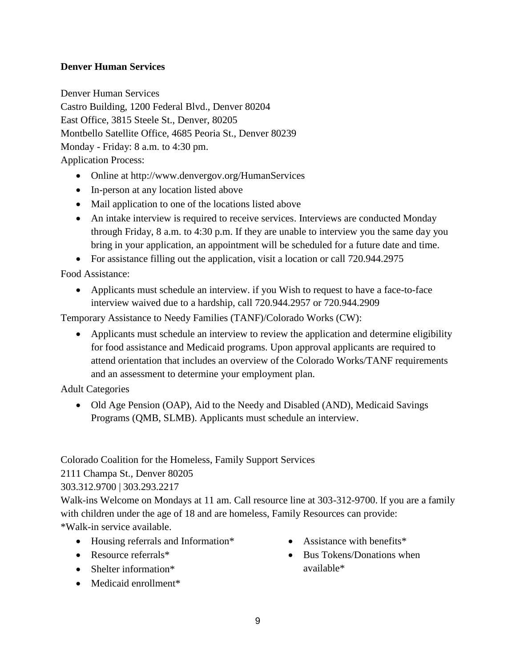# **Denver Human Services**

Denver Human Services Castro Building, 1200 Federal Blvd., Denver 80204 East Office, 3815 Steele St., Denver, 80205 Montbello Satellite Office, 4685 Peoria St., Denver 80239 Monday - Friday: 8 a.m. to 4:30 pm. Application Process:

- Online at http://www.denvergov.org/HumanServices
- In-person at any location listed above
- Mail application to one of the locations listed above
- An intake interview is required to receive services. Interviews are conducted Monday through Friday, 8 a.m. to 4:30 p.m. If they are unable to interview you the same day you bring in your application, an appointment will be scheduled for a future date and time.
- For assistance filling out the application, visit a location or call 720.944.2975

Food Assistance:

 Applicants must schedule an interview. if you Wish to request to have a face-to-face interview waived due to a hardship, call 720.944.2957 or 720.944.2909

Temporary Assistance to Needy Families (TANF)/Colorado Works (CW):

 Applicants must schedule an interview to review the application and determine eligibility for food assistance and Medicaid programs. Upon approval applicants are required to attend orientation that includes an overview of the Colorado Works/TANF requirements and an assessment to determine your employment plan.

Adult Categories

• Old Age Pension (OAP), Aid to the Needy and Disabled (AND), Medicaid Savings Programs (QMB, SLMB). Applicants must schedule an interview.

Colorado Coalition for the Homeless, Family Support Services

2111 Champa St., Denver 80205

## 303.312.9700 | 303.293.2217

Walk-ins Welcome on Mondays at 11 am. Call resource line at 303-312-9700. lf you are a family with children under the age of 18 and are homeless, Family Resources can provide: \*Walk-in service available.

- Housing referrals and Information\*
- Resource referrals\*
- Shelter information\*
- Medicaid enrollment<sup>\*</sup>
- Assistance with benefits\*
- Bus Tokens/Donations when available\*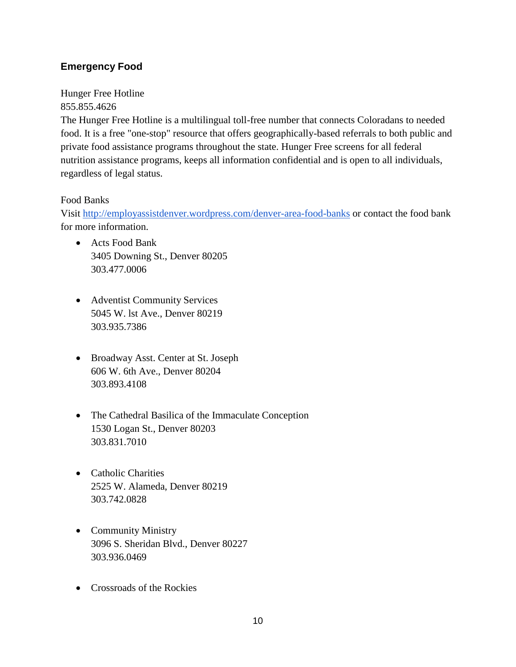# **Emergency Food**

Hunger Free Hotline 855.855.4626

The Hunger Free Hotline is a multilingual toll-free number that connects Coloradans to needed food. It is a free "one-stop" resource that offers geographically-based referrals to both public and private food assistance programs throughout the state. Hunger Free screens for all federal nutrition assistance programs, keeps all information confidential and is open to all individuals, regardless of legal status.

## Food Banks

Visit [http://employassistdenver.wordpress.com/denver-area-food-banks](http://employassistdenver.dordpress.com/denver-area-food-banks) or contact the food bank for more information.

- Acts Food Bank 3405 Downing St., Denver 80205 303.477.0006
- Adventist Community Services 5045 W. lst Ave., Denver 80219 303.935.7386
- Broadway Asst. Center at St. Joseph 606 W. 6th Ave., Denver 80204 303.893.4108
- The Cathedral Basilica of the Immaculate Conception 1530 Logan St., Denver 80203 303.831.7010
- Catholic Charities 2525 W. Alameda, Denver 80219 303.742.0828
- Community Ministry 3096 S. Sheridan Blvd., Denver 80227 303.936.0469
- Crossroads of the Rockies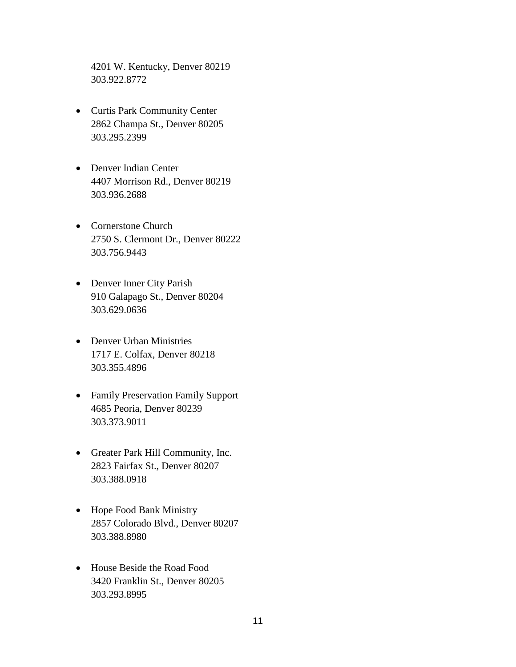4201 W. Kentucky, Denver 80219 303.922.8772

- Curtis Park Community Center 2862 Champa St., Denver 80205 303.295.2399
- Denver Indian Center 4407 Morrison Rd., Denver 80219 303.936.2688
- Cornerstone Church 2750 S. Clermont Dr., Denver 80222 303.756.9443
- Denver Inner City Parish 910 Galapago St., Denver 80204 303.629.0636
- Denver Urban Ministries 1717 E. Colfax, Denver 80218 303.355.4896
- Family Preservation Family Support 4685 Peoria, Denver 80239 303.373.9011
- Greater Park Hill Community, Inc. 2823 Fairfax St., Denver 80207 303.388.0918
- Hope Food Bank Ministry 2857 Colorado Blvd., Denver 80207 303.388.8980
- House Beside the Road Food 3420 Franklin St., Denver 80205 303.293.8995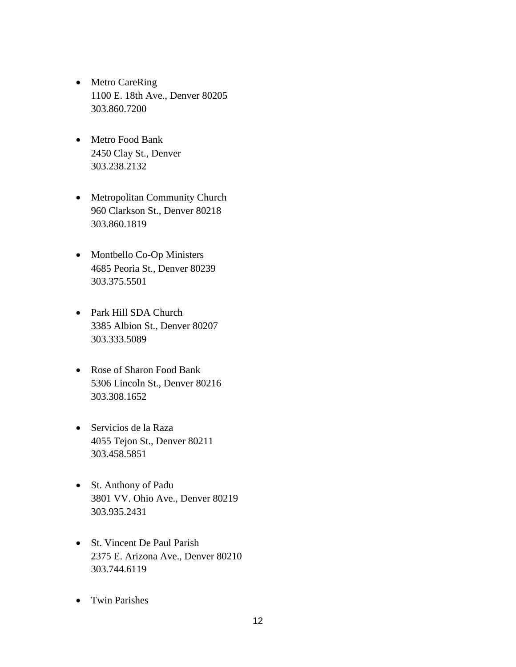- Metro CareRing 1100 E. 18th Ave., Denver 80205 303.860.7200
- Metro Food Bank 2450 Clay St., Denver 303.238.2132
- Metropolitan Community Church 960 Clarkson St., Denver 80218 303.860.1819
- Montbello Co-Op Ministers 4685 Peoria St., Denver 80239 303.375.5501
- Park Hill SDA Church 3385 Albion St., Denver 80207 303.333.5089
- Rose of Sharon Food Bank 5306 Lincoln St., Denver 80216 303.308.1652
- Servicios de la Raza 4055 Tejon St., Denver 80211 303.458.5851
- St. Anthony of Padu 3801 VV. Ohio Ave., Denver 80219 303.935.2431
- St. Vincent De Paul Parish 2375 E. Arizona Ave., Denver 80210 303.744.6119
- Twin Parishes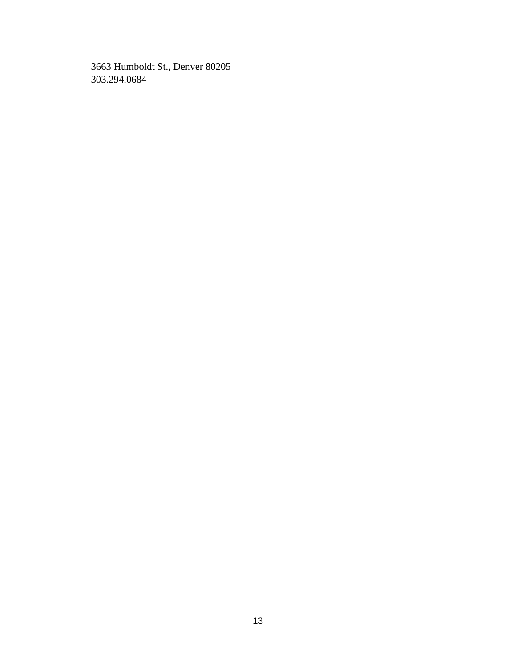3663 Humboldt St., Denver 80205 303.294.0684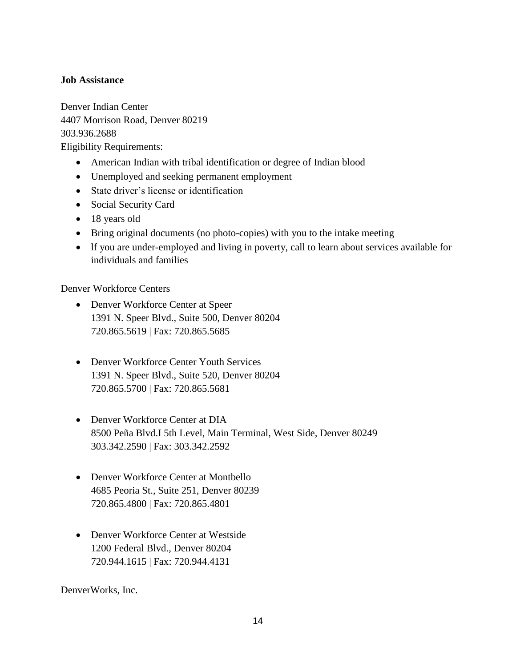## **Job Assistance**

Denver Indian Center 4407 Morrison Road, Denver 80219 303.936.2688 Eligibility Requirements:

- American Indian with tribal identification or degree of Indian blood
- Unemployed and seeking permanent employment
- State driver's license or identification
- Social Security Card
- 18 years old
- Bring original documents (no photo-copies) with you to the intake meeting
- lf you are under-employed and living in poverty, call to learn about services available for individuals and families

Denver Workforce Centers

- Denver Workforce Center at Speer 1391 N. Speer Blvd., Suite 500, Denver 80204 720.865.5619 | Fax: 720.865.5685
- Denver Workforce Center Youth Services 1391 N. Speer Blvd., Suite 520, Denver 80204 720.865.5700 | Fax: 720.865.5681
- Denver Workforce Center at DIA 8500 Peña Blvd.I 5th Level, Main Terminal, West Side, Denver 80249 303.342.2590 | Fax: 303.342.2592
- Denver Workforce Center at Montbello 4685 Peoria St., Suite 251, Denver 80239 720.865.4800 | Fax: 720.865.4801
- Denver Workforce Center at Westside 1200 Federal Blvd., Denver 80204 720.944.1615 | Fax: 720.944.4131

DenverWorks, Inc.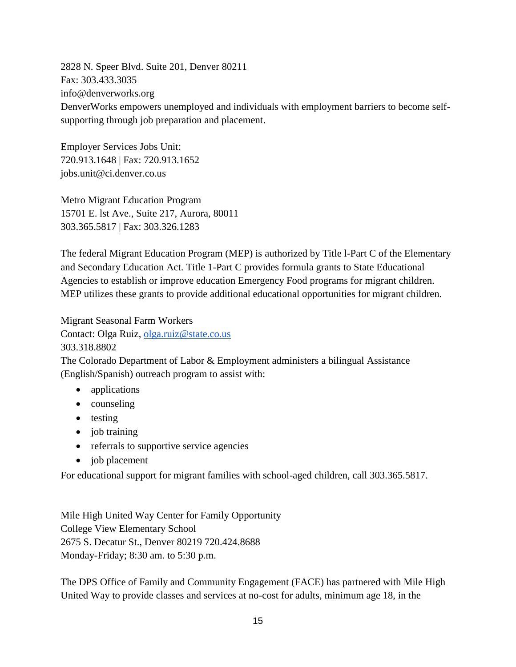2828 N. Speer Blvd. Suite 201, Denver 80211 Fax: 303.433.3035 info@denverworks.org DenverWorks empowers unemployed and individuals with employment barriers to become selfsupporting through job preparation and placement.

Employer Services Jobs Unit: 720.913.1648 | Fax: 720.913.1652 jobs.unit@ci.denver.co.us

Metro Migrant Education Program 15701 E. lst Ave., Suite 217, Aurora, 80011 303.365.5817 | Fax: 303.326.1283

The federal Migrant Education Program (MEP) is authorized by Title l-Part C of the Elementary and Secondary Education Act. Title 1-Part C provides formula grants to State Educational Agencies to establish or improve education Emergency Food programs for migrant children. MEP utilizes these grants to provide additional educational opportunities for migrant children.

Migrant Seasonal Farm Workers Contact: Olga Ruiz, [olga.ruiz@state.co.us](mailto:olga.ruiz@state.co.us) 303.318.8802

The Colorado Department of Labor & Employment administers a bilingual Assistance (English/Spanish) outreach program to assist with:

- applications
- counseling
- testing
- job training
- referrals to supportive service agencies
- job placement

For educational support for migrant families with school-aged children, call 303.365.5817.

Mile High United Way Center for Family Opportunity College View Elementary School 2675 S. Decatur St., Denver 80219 720.424.8688 Monday-Friday; 8:30 am. to 5:30 p.m.

The DPS Office of Family and Community Engagement (FACE) has partnered with Mile High United Way to provide classes and services at no-cost for adults, minimum age 18, in the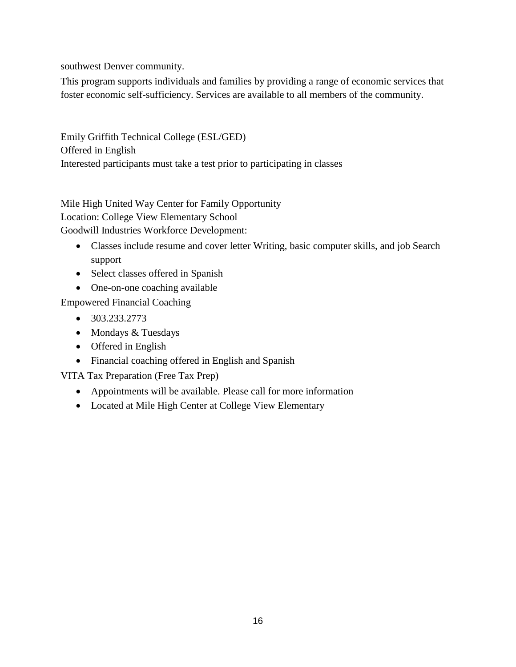southwest Denver community.

This program supports individuals and families by providing a range of economic services that foster economic self-sufficiency. Services are available to all members of the community.

Emily Griffith Technical College (ESL/GED) Offered in English Interested participants must take a test prior to participating in classes

Mile High United Way Center for Family Opportunity Location: College View Elementary School Goodwill Industries Workforce Development:

- Classes include resume and cover letter Writing, basic computer skills, and job Search support
- Select classes offered in Spanish
- One-on-one coaching available

Empowered Financial Coaching

- $\bullet$  303.233.2773
- Mondays & Tuesdays
- Offered in English
- Financial coaching offered in English and Spanish

VITA Tax Preparation (Free Tax Prep)

- Appointments will be available. Please call for more information
- Located at Mile High Center at College View Elementary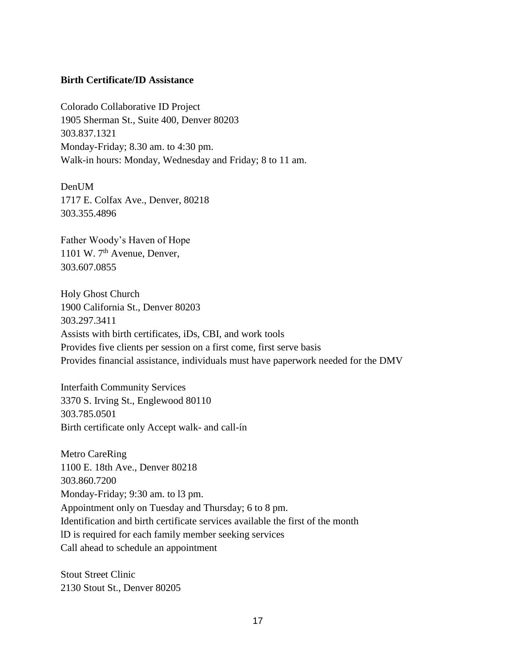#### **Birth Certificate/ID Assistance**

Colorado Collaborative ID Project 1905 Sherman St., Suite 400, Denver 80203 303.837.1321 Monday-Friday; 8.30 am. to 4:30 pm. Walk-in hours: Monday, Wednesday and Friday; 8 to 11 am.

Den**UM** 1717 E. Colfax Ave., Denver, 80218 303.355.4896

Father Woody's Haven of Hope 1101 W.  $7<sup>th</sup>$  Avenue, Denver, 303.607.0855

Holy Ghost Church 1900 California St., Denver 80203 303.297.3411 Assists with birth certificates, iDs, CBI, and work tools Provides five clients per session on a first come, first serve basis Provides financial assistance, individuals must have paperwork needed for the DMV

Interfaith Community Services 3370 S. Irving St., Englewood 80110 303.785.0501 Birth certificate only Accept walk- and call-ín

Metro CareRing 1100 E. 18th Ave., Denver 80218 303.860.7200 Monday-Friday; 9:30 am. to l3 pm. Appointment only on Tuesday and Thursday; 6 to 8 pm. Identification and birth certificate services available the first of the month lD is required for each family member seeking services Call ahead to schedule an appointment

Stout Street Clinic 2130 Stout St., Denver 80205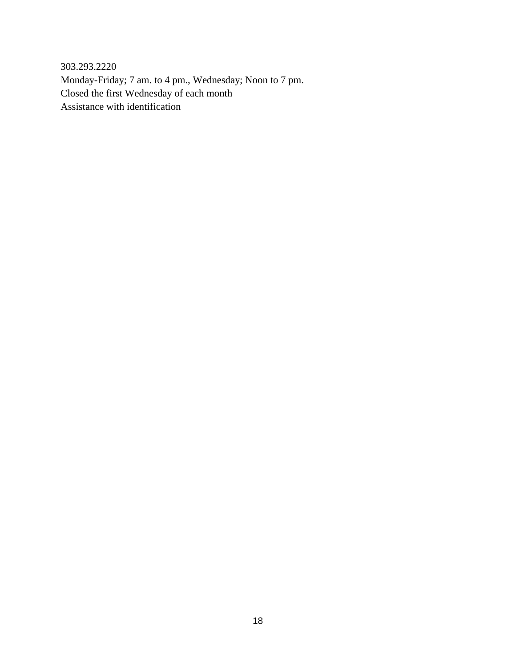303.293.2220 Monday-Friday; 7 am. to 4 pm., Wednesday; Noon to 7 pm. Closed the first Wednesday of each month Assistance with identification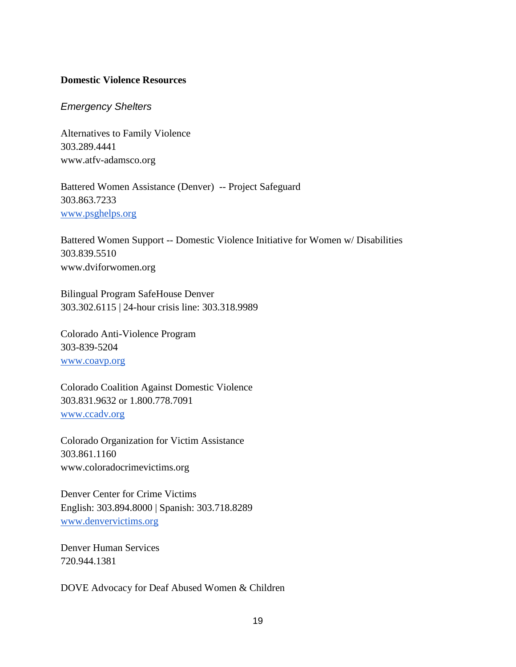## **Domestic Violence Resources**

#### *Emergency Shelters*

Alternatives to Family Violence 303.289.4441 www.atfv-adamsco.org

Battered Women Assistance (Denver) -- Project Safeguard 303.863.7233 [www.psghelps.org](http://www.psghelps.org/)

Battered Women Support -- Domestic Violence Initiative for Women w/ Disabilities 303.839.5510 www.dviforwomen.org

Bilingual Program SafeHouse Denver 303.302.6115 | 24-hour crisis line: 303.318.9989

Colorado Anti-Violence Program 303-839-5204 [www.coavp.org](http://www.coavp.org/)

Colorado Coalition Against Domestic Violence 303.831.9632 or 1.800.778.7091 [www.ccadv.org](http://www.ccadv.org/)

Colorado Organization for Victim Assistance 303.861.1160 www.coloradocrimevictims.org

Denver Center for Crime Victims English: 303.894.8000 | Spanish: 303.718.8289 [www.denvervictims.org](http://www.denvervictims.org/)

Denver Human Services 720.944.1381

DOVE Advocacy for Deaf Abused Women & Children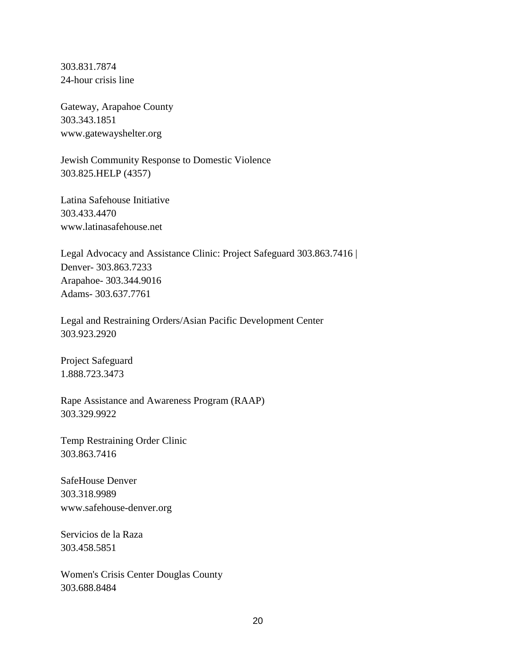303.831.7874 24-hour crisis line

Gateway, Arapahoe County 303.343.1851 www.gatewayshelter.org

Jewish Community Response to Domestic Violence 303.825.HELP (4357)

Latina Safehouse Initiative 303.433.4470 www.latinasafehouse.net

Legal Advocacy and Assistance Clinic: Project Safeguard 303.863.7416 | Denver- 303.863.7233 Arapahoe- 303.344.9016 Adams- 303.637.7761

Legal and Restraining Orders/Asian Pacific Development Center 303.923.2920

Project Safeguard 1.888.723.3473

Rape Assistance and Awareness Program (RAAP) 303.329.9922

Temp Restraining Order Clinic 303.863.7416

SafeHouse Denver 303.318.9989 www.safehouse-denver.org

Servicios de la Raza 303.458.5851

Women's Crisis Center Douglas County 303.688.8484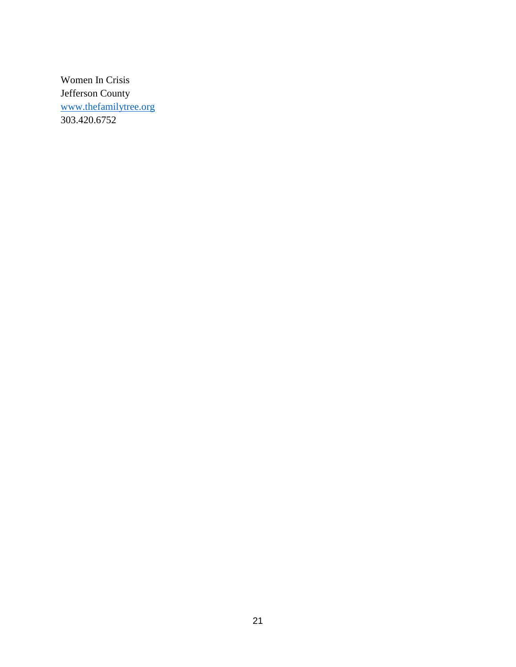Women In Crisis Jefferson County [www.thefamilytree.org](http://www.thefamilytree.org/) 303.420.6752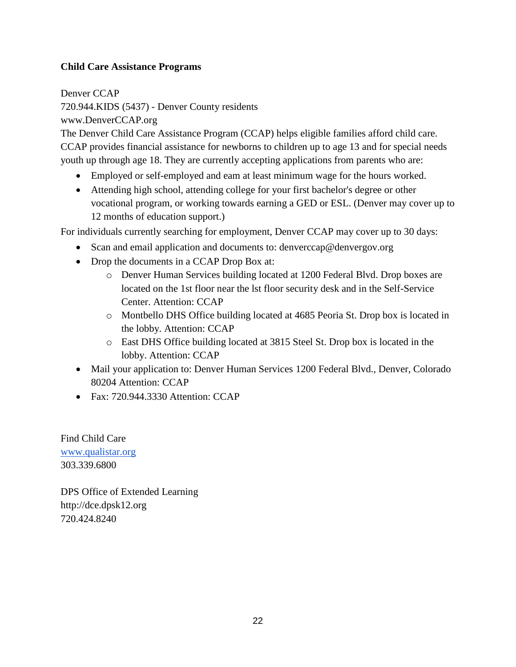# **Child Care Assistance Programs**

Denver CCAP 720.944.KIDS (5437) - Denver County residents www.DenverCCAP.org

The Denver Child Care Assistance Program (CCAP) helps eligible families afford child care. CCAP provides financial assistance for newborns to children up to age 13 and for special needs youth up through age 18. They are currently accepting applications from parents who are:

- Employed or self-employed and eam at least minimum wage for the hours worked.
- Attending high school, attending college for your first bachelor's degree or other vocational program, or working towards earning a GED or ESL. (Denver may cover up to 12 months of education support.)

For individuals currently searching for employment, Denver CCAP may cover up to 30 days:

- Scan and email application and documents to: denverceap@denvergov.org
- Drop the documents in a CCAP Drop Box at:
	- o Denver Human Services building located at 1200 Federal Blvd. Drop boxes are located on the 1st floor near the lst floor security desk and in the Self-Service Center. Attention: CCAP
	- o Montbello DHS Office building located at 4685 Peoria St. Drop box is located in the lobby. Attention: CCAP
	- o East DHS Office building located at 3815 Steel St. Drop box is located in the lobby. Attention: CCAP
- Mail your application to: Denver Human Services 1200 Federal Blvd., Denver, Colorado 80204 Attention: CCAP
- $\bullet$  Fax: 720.944.3330 Attention: CCAP

Find Child Care [www.qualistar.org](http://www.qualistar.org/) 303.339.6800

DPS Office of Extended Learning http://dce.dpsk12.org 720.424.8240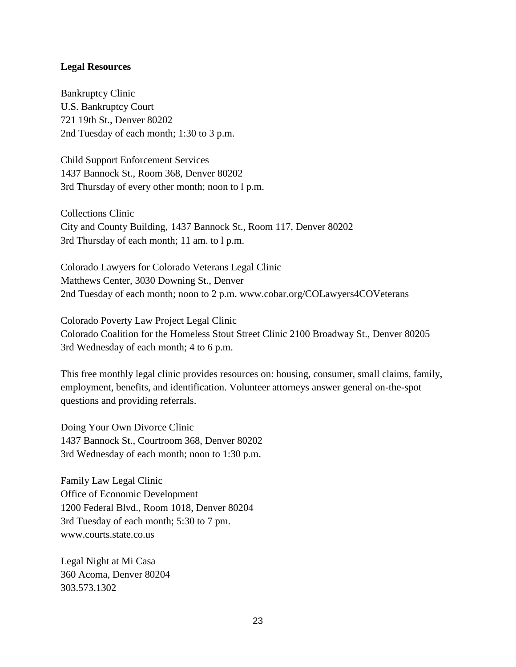#### **Legal Resources**

Bankruptcy Clinic U.S. Bankruptcy Court 721 19th St., Denver 80202 2nd Tuesday of each month; 1:30 to 3 p.m.

Child Support Enforcement Services 1437 Bannock St., Room 368, Denver 80202 3rd Thursday of every other month; noon to l p.m.

Collections Clinic City and County Building, 1437 Bannock St., Room 117, Denver 80202 3rd Thursday of each month; 11 am. to l p.m.

Colorado Lawyers for Colorado Veterans Legal Clinic Matthews Center, 3030 Downing St., Denver 2nd Tuesday of each month; noon to 2 p.m. www.cobar.org/COLawyers4COVeterans

Colorado Poverty Law Project Legal Clinic Colorado Coalition for the Homeless Stout Street Clinic 2100 Broadway St., Denver 80205 3rd Wednesday of each month; 4 to 6 p.m.

This free monthly legal clinic provides resources on: housing, consumer, small claims, family, employment, benefits, and identification. Volunteer attorneys answer general on-the-spot questions and providing referrals.

Doing Your Own Divorce Clinic 1437 Bannock St., Courtroom 368, Denver 80202 3rd Wednesday of each month; noon to 1:30 p.m.

Family Law Legal Clinic Office of Economic Development 1200 Federal Blvd., Room 1018, Denver 80204 3rd Tuesday of each month; 5:30 to 7 pm. www.courts.state.co.us

Legal Night at Mi Casa 360 Acoma, Denver 80204 303.573.1302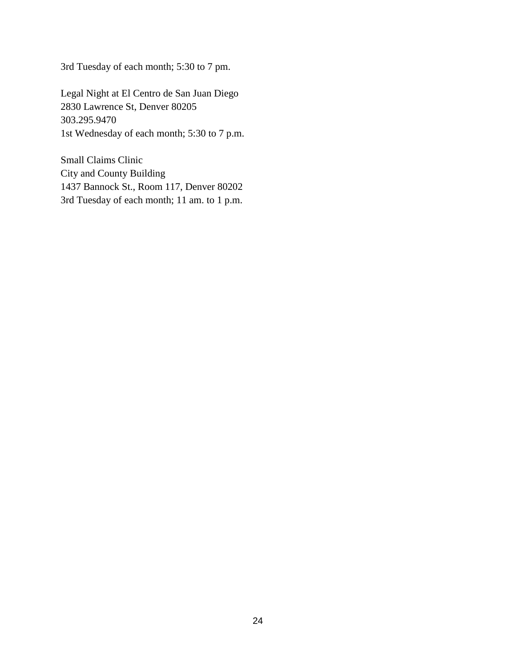3rd Tuesday of each month; 5:30 to 7 pm.

Legal Night at El Centro de San Juan Diego 2830 Lawrence St, Denver 80205 303.295.9470 1st Wednesday of each month; 5:30 to 7 p.m.

Small Claims Clinic City and County Building 1437 Bannock St., Room 117, Denver 80202 3rd Tuesday of each month; 11 am. to 1 p.m.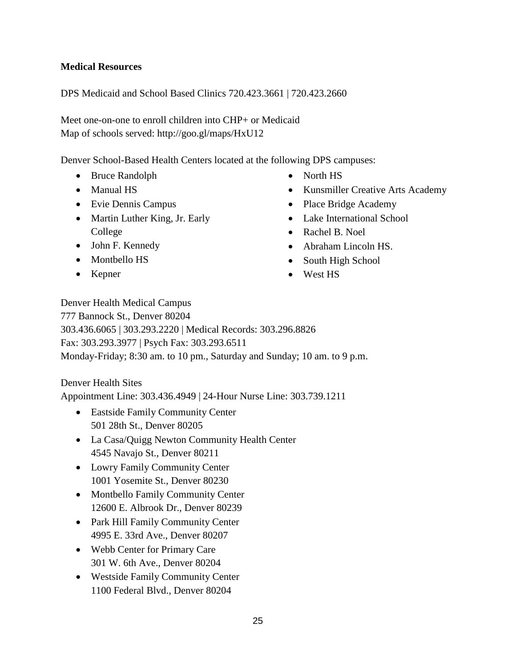## **Medical Resources**

DPS Medicaid and School Based Clinics 720.423.3661 | 720.423.2660

Meet one-on-one to enroll children into CHP+ or Medicaid Map of schools served: http://goo.gl/maps/HxU12

Denver School-Based Health Centers located at the following DPS campuses:

- Bruce Randolph
- Manual HS
- Evie Dennis Campus
- Martin Luther King, Jr. Early College
- John F. Kennedy
- Montbello HS
- Kepner
- North HS
- Kunsmiller Creative Arts Academy
- Place Bridge Academy
- Lake International School
- Rachel B. Noel
- Abraham Lincoln HS.
- South High School
- West HS

Denver Health Medical Campus 777 Bannock St., Denver 80204 303.436.6065 | 303.293.2220 | Medical Records: 303.296.8826 Fax: 303.293.3977 | Psych Fax: 303.293.6511 Monday-Friday; 8:30 am. to 10 pm., Saturday and Sunday; 10 am. to 9 p.m.

## Denver Health Sites

Appointment Line: 303.436.4949 | 24-Hour Nurse Line: 303.739.1211

- Eastside Family Community Center 501 28th St., Denver 80205
- La Casa/Quigg Newton Community Health Center 4545 Navajo St., Denver 80211
- Lowry Family Community Center 1001 Yosemite St., Denver 80230
- Montbello Family Community Center 12600 E. Albrook Dr., Denver 80239
- Park Hill Family Community Center 4995 E. 33rd Ave., Denver 80207
- Webb Center for Primary Care 301 W. 6th Ave., Denver 80204
- Westside Family Community Center 1100 Federal Blvd., Denver 80204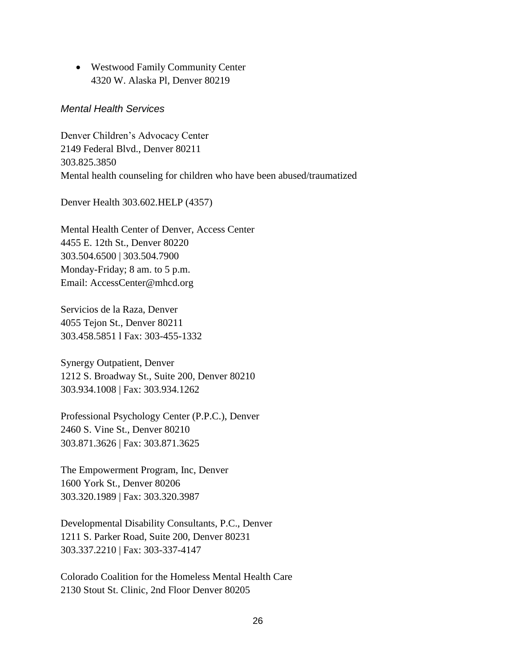Westwood Family Community Center 4320 W. Alaska Pl, Denver 80219

### *Mental Health Services*

Denver Children's Advocacy Center 2149 Federal Blvd., Denver 80211 303.825.3850 Mental health counseling for children who have been abused/traumatized

Denver Health 303.602.HELP (4357)

Mental Health Center of Denver, Access Center 4455 E. 12th St., Denver 80220 303.504.6500 | 303.504.7900 Monday-Friday; 8 am. to 5 p.m. Email: AccessCenter@mhcd.org

Servicios de la Raza, Denver 4055 Tejon St., Denver 80211 303.458.5851 l Fax: 303-455-1332

Synergy Outpatient, Denver 1212 S. Broadway St., Suite 200, Denver 80210 303.934.1008 | Fax: 303.934.1262

Professional Psychology Center (P.P.C.), Denver 2460 S. Vine St., Denver 80210 303.871.3626 | Fax: 303.871.3625

The Empowerment Program, Inc, Denver 1600 York St., Denver 80206 303.320.1989 | Fax: 303.320.3987

Developmental Disability Consultants, P.C., Denver 1211 S. Parker Road, Suite 200, Denver 80231 303.337.2210 | Fax: 303-337-4147

Colorado Coalition for the Homeless Mental Health Care 2130 Stout St. Clinic, 2nd Floor Denver 80205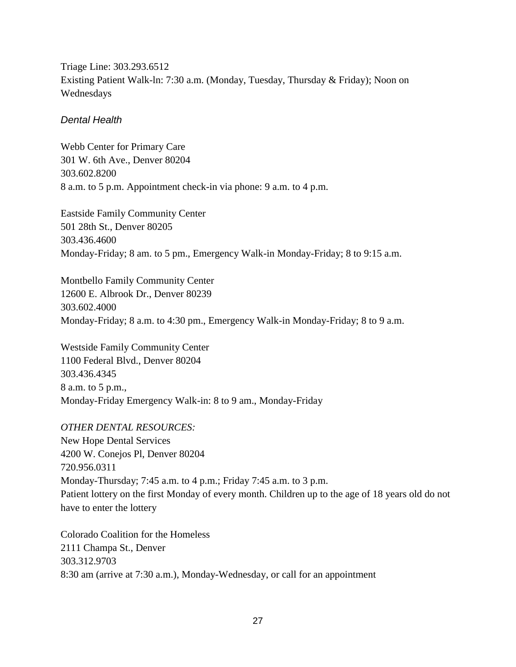Triage Line: 303.293.6512 Existing Patient Walk-ln: 7:30 a.m. (Monday, Tuesday, Thursday & Friday); Noon on Wednesdays

## *Dental Health*

Webb Center for Primary Care 301 W. 6th Ave., Denver 80204 303.602.8200 8 a.m. to 5 p.m. Appointment check-in via phone: 9 a.m. to 4 p.m.

Eastside Family Community Center 501 28th St., Denver 80205 303.436.4600 Monday-Friday; 8 am. to 5 pm., Emergency Walk-in Monday-Friday; 8 to 9:15 a.m.

Montbello Family Community Center 12600 E. Albrook Dr., Denver 80239 303.602.4000 Monday-Friday; 8 a.m. to 4:30 pm., Emergency Walk-in Monday-Friday; 8 to 9 a.m.

Westside Family Community Center 1100 Federal Blvd., Denver 80204 303.436.4345 8 a.m. to 5 p.m., Monday-Friday Emergency Walk-in: 8 to 9 am., Monday-Friday

### *OTHER DENTAL RESOURCES:*

New Hope Dental Services 4200 W. Conejos Pl, Denver 80204 720.956.0311 Monday-Thursday; 7:45 a.m. to 4 p.m.; Friday 7:45 a.m. to 3 p.m. Patient lottery on the first Monday of every month. Children up to the age of 18 years old do not have to enter the lottery

Colorado Coalition for the Homeless 2111 Champa St., Denver 303.312.9703 8:30 am (arrive at 7:30 a.m.), Monday-Wednesday, or call for an appointment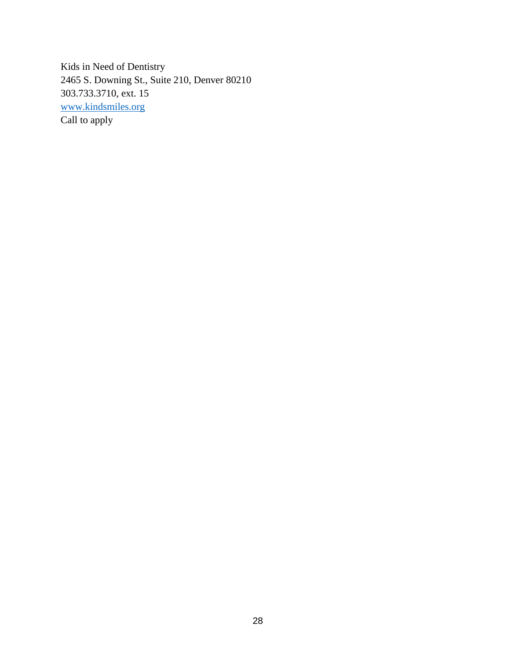Kids in Need of Dentistry 2465 S. Downing St., Suite 210, Denver 80210 303.733.3710, ext. 15 [www.kindsmiles.org](http://www.kindsmiles.org/) Call to apply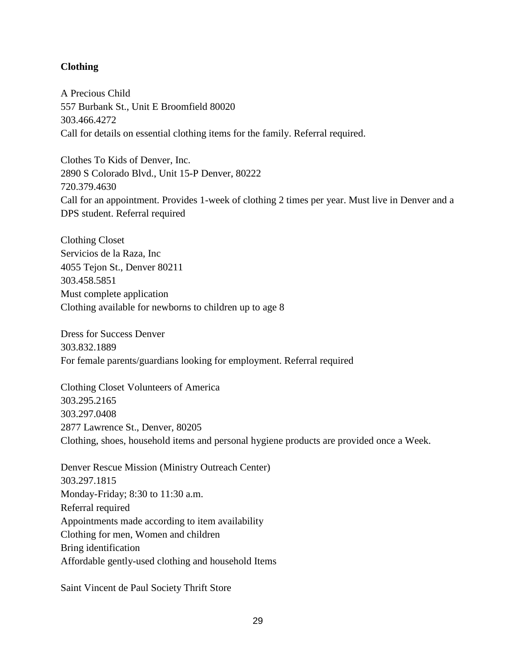## **Clothing**

A Precious Child 557 Burbank St., Unit E Broomfield 80020 303.466.4272 Call for details on essential clothing items for the family. Referral required.

Clothes To Kids of Denver, Inc. 2890 S Colorado Blvd., Unit 15-P Denver, 80222 720.379.4630 Call for an appointment. Provides 1-week of clothing 2 times per year. Must live in Denver and a DPS student. Referral required

Clothing Closet Servicios de la Raza, Inc 4055 Tejon St., Denver 80211 303.458.5851 Must complete application Clothing available for newborns to children up to age 8

Dress for Success Denver 303.832.1889 For female parents/guardians looking for employment. Referral required

Clothing Closet Volunteers of America 303.295.2165 303.297.0408 2877 Lawrence St., Denver, 80205 Clothing, shoes, household items and personal hygiene products are provided once a Week.

Denver Rescue Mission (Ministry Outreach Center) 303.297.1815 Monday-Friday; 8:30 to 11:30 a.m. Referral required Appointments made according to item availability Clothing for men, Women and children Bring identification Affordable gently-used clothing and household Items

Saint Vincent de Paul Society Thrift Store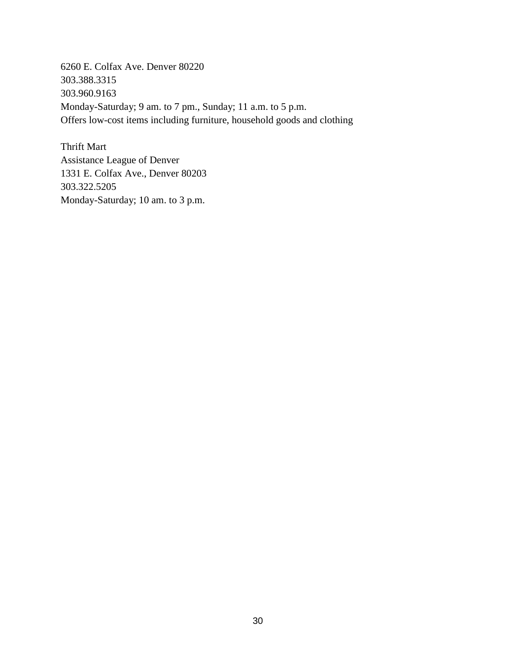6260 E. Colfax Ave. Denver 80220 303.388.3315 303.960.9163 Monday-Saturday; 9 am. to 7 pm., Sunday; 11 a.m. to 5 p.m. Offers low-cost items including furniture, household goods and clothing

Thrift Mart Assistance League of Denver 1331 E. Colfax Ave., Denver 80203 303.322.5205 Monday-Saturday; 10 am. to 3 p.m.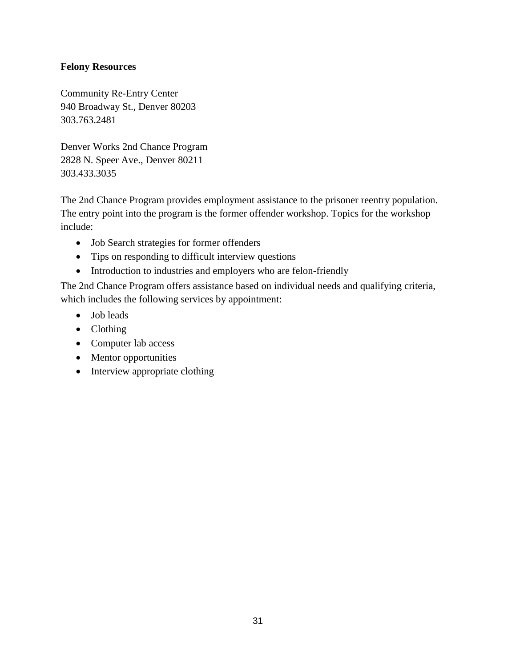## **Felony Resources**

Community Re-Entry Center 940 Broadway St., Denver 80203 303.763.2481

Denver Works 2nd Chance Program 2828 N. Speer Ave., Denver 80211 303.433.3035

The 2nd Chance Program provides employment assistance to the prisoner reentry population. The entry point into the program is the former offender workshop. Topics for the workshop include:

- Job Search strategies for former offenders
- Tips on responding to difficult interview questions
- Introduction to industries and employers who are felon-friendly

The 2nd Chance Program offers assistance based on individual needs and qualifying criteria, which includes the following services by appointment:

- Job leads
- Clothing
- Computer lab access
- Mentor opportunities
- Interview appropriate clothing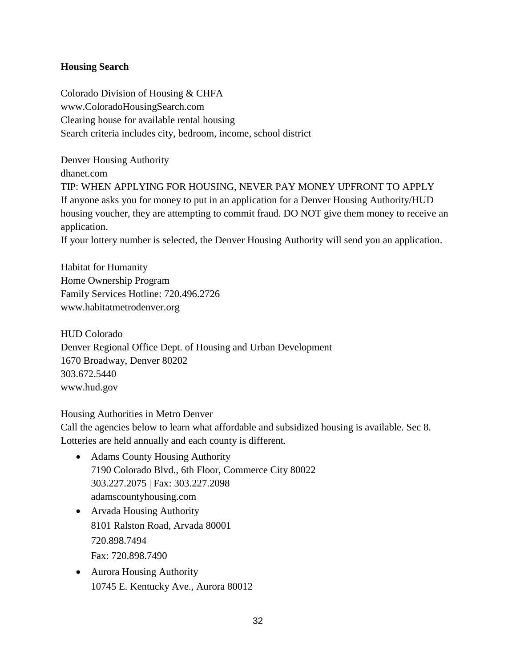## **Housing Search**

Colorado Division of Housing & CHFA www.ColoradoHousingSearch.com Clearing house for available rental housing Search criteria includes city, bedroom, income, school district

Denver Housing Authority dhanet.com TIP: WHEN APPLYING FOR HOUSING, NEVER PAY MONEY UPFRONT TO APPLY If anyone asks you for money to put in an application for a Denver Housing Authority/HUD housing voucher, they are attempting to commit fraud. DO NOT give them money to receive an application.

If your lottery number is selected, the Denver Housing Authority will send you an application.

Habitat for Humanity Home Ownership Program Family Services Hotline: 720.496.2726 www.habitatmetrodenver.org

HUD Colorado Denver Regional Office Dept. of Housing and Urban Development 1670 Broadway, Denver 80202 303.672.5440 www.hud.gov

Housing Authorities in Metro Denver

Call the agencies below to learn what affordable and subsidized housing is available. Sec 8. Lotteries are held annually and each county is different.

- Adams County Housing Authority 7190 Colorado Blvd., 6th Floor, Commerce City 80022 303.227.2075 | Fax: 303.227.2098 adamscountyhousing.com
- Arvada Housing Authority 8101 Ralston Road, Arvada 80001 720.898.7494 Fax: 720.898.7490
- Aurora Housing Authority 10745 E. Kentucky Ave., Aurora 80012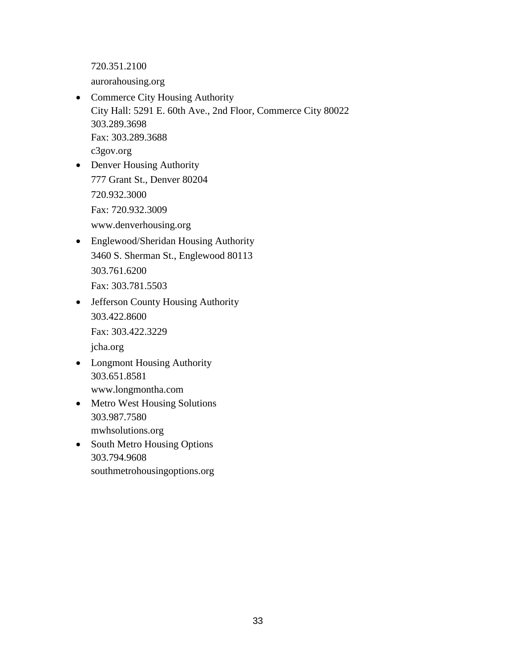720.351.2100

aurorahousing.org

- Commerce City Housing Authority City Hall: 5291 E. 60th Ave., 2nd Floor, Commerce City 80022 303.289.3698 Fax: 303.289.3688 c3gov.org
- Denver Housing Authority 777 Grant St., Denver 80204 720.932.3000 Fax: 720.932.3009 www.denverhousing.org
- Englewood/Sheridan Housing Authority 3460 S. Sherman St., Englewood 80113 303.761.6200 Fax: 303.781.5503
- Jefferson County Housing Authority 303.422.8600 Fax: 303.422.3229 jcha.org
- Longmont Housing Authority 303.651.8581 www.longmontha.com
- Metro West Housing Solutions 303.987.7580 mwhsolutions.org
- South Metro Housing Options 303.794.9608 southmetrohousingoptions.org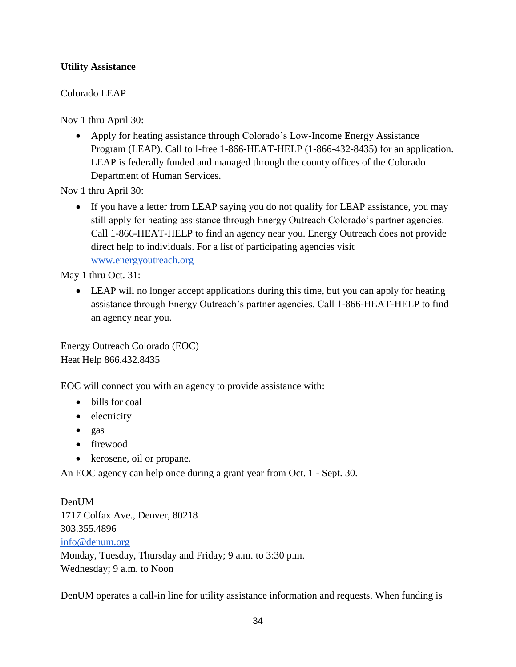# **Utility Assistance**

# Colorado LEAP

Nov 1 thru April 30:

 Apply for heating assistance through Colorado's Low-Income Energy Assistance Program (LEAP). Call toll-free 1-866-HEAT-HELP (1-866-432-8435) for an application. LEAP is federally funded and managed through the county offices of the Colorado Department of Human Services.

Nov 1 thru April 30:

• If you have a letter from LEAP saying you do not qualify for LEAP assistance, you may still apply for heating assistance through Energy Outreach Colorado's partner agencies. Call 1-866-HEAT-HELP to find an agency near you. Energy Outreach does not provide direct help to individuals. For a list of participating agencies visit [www.energyoutreach.org](http://www.energyoutreach.org/)

May 1 thru Oct. 31:

• LEAP will no longer accept applications during this time, but you can apply for heating assistance through Energy Outreach's partner agencies. Call 1-866-HEAT-HELP to find an agency near you.

Energy Outreach Colorado (EOC) Heat Help 866.432.8435

EOC will connect you with an agency to provide assistance with:

- bills for coal
- electricity
- $\bullet$  gas
- firewood
- kerosene, oil or propane.

An EOC agency can help once during a grant year from Oct. 1 - Sept. 30.

Den**UM** 1717 Colfax Ave., Denver, 80218 303.355.4896 [info@denum.org](mailto:info@denum.org) Monday, Tuesday, Thursday and Friday; 9 a.m. to 3:30 p.m. Wednesday; 9 a.m. to Noon

DenUM operates a call-in line for utility assistance information and requests. When funding is